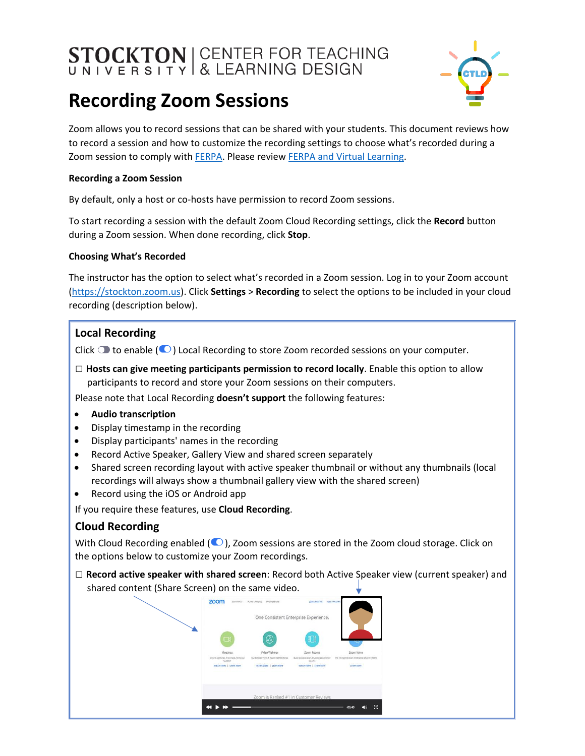# **STOCKTON** CENTER FOR TEACHING



# **Recording Zoom Sessions**

Zoom allows you to record sessions that can be shared with your students. This document reviews how to record a session and how to customize the recording settings to choose what's recorded during a Zoom session to comply with [FERPA.](https://www2.ed.gov/policy/gen/guid/fpco/ferpa/students.html) Please review [FERPA and Virtual Learning.](https://studentprivacy.ed.gov/resources/ferpa-and-virtual-learning)

# **Recording a Zoom Session**

By default, only a host or co-hosts have permission to record Zoom sessions.

To start recording a session with the default Zoom Cloud Recording settings, click the **Record** button during a Zoom session. When done recording, click **Stop**.

## **Choosing What's Recorded**

The instructor has the option to select what's recorded in a Zoom session. Log in to your Zoom account [\(https://stockton.zoom.us\)](https://stockton.zoom.us/). Click **Settings** > **Recording** to select the options to be included in your cloud recording (description below).

# **Local Recording**

Click  $\bigcirc$  to enable ( $\bigcirc$ ) Local Recording to store Zoom recorded sessions on your computer.

**□ Hosts can give meeting participants permission to record locally**. Enable this option to allow participants to record and store your Zoom sessions on their computers.

Please note that Local Recording **doesn't support** the following features:

- **Audio transcription**
- Display timestamp in the recording
- Display participants' names in the recording
- Record Active Speaker, Gallery View and shared screen separately
- Shared screen recording layout with active speaker thumbnail or without any thumbnails (local recordings will always show a thumbnail gallery view with the shared screen)
- Record using the iOS or Android app

If you require these features, use **Cloud Recording**.

# **Cloud Recording**

With Cloud Recording enabled  $(\bigcirc)$ , Zoom sessions are stored in the Zoom cloud storage. Click on the options below to customize your Zoom recordings.

**□ Record active speaker with shared screen**: Record both Active Speaker view (current speaker) and shared content (Share Screen) on the same video.

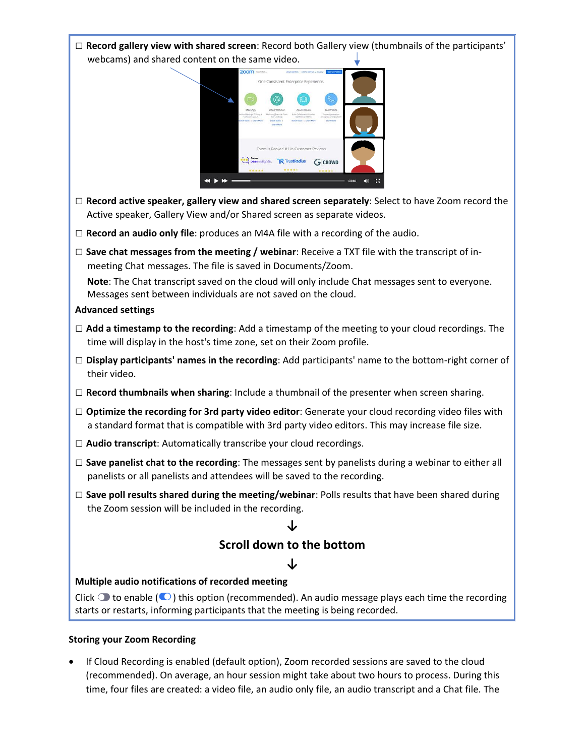

## **Storing your Zoom Recording**

• If Cloud Recording is enabled (default option), Zoom recorded sessions are saved to the cloud (recommended). On average, an hour session might take about two hours to process. During this time, four files are created: a video file, an audio only file, an audio transcript and a Chat file. The